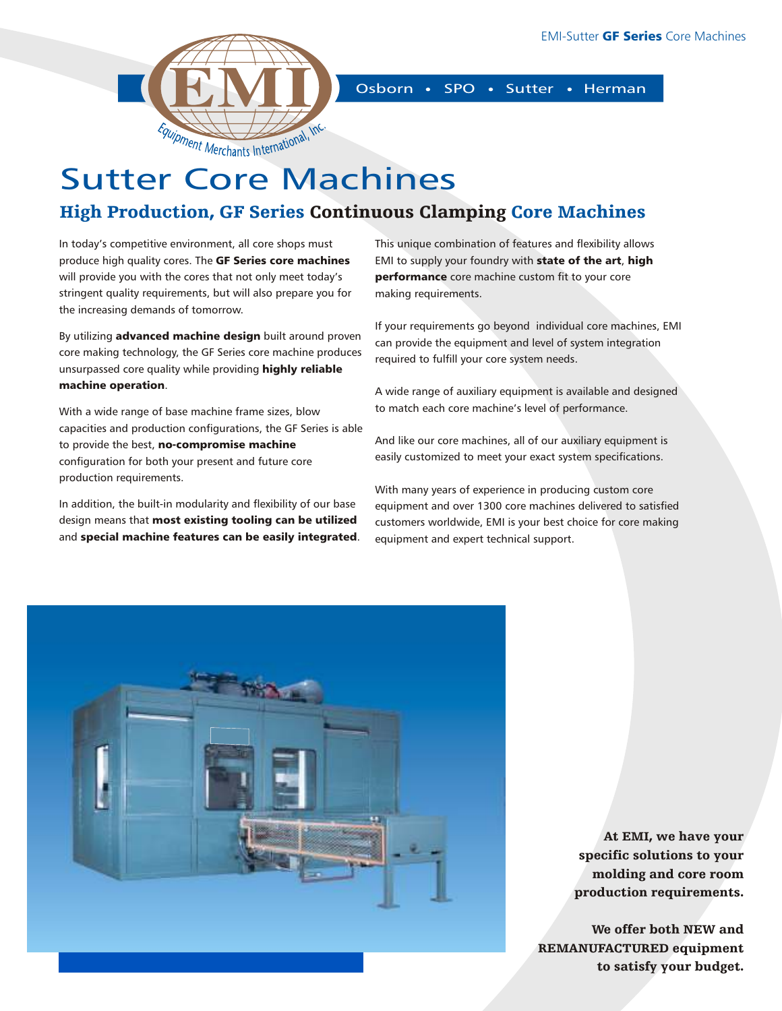

Osborn • SPO • Sutter • Herman

# Sutter Core Machines

## High Production, GF Series Continuous Clamping Core Machines

In today's competitive environment, all core shops must produce high quality cores. The GF Series core machines will provide you with the cores that not only meet today's stringent quality requirements, but will also prepare you for the increasing demands of tomorrow.

By utilizing advanced machine design built around proven core making technology, the GF Series core machine produces unsurpassed core quality while providing highly reliable machine operation.

With a wide range of base machine frame sizes, blow capacities and production configurations, the GF Series is able to provide the best, no-compromise machine configuration for both your present and future core production requirements.

In addition, the built-in modularity and flexibility of our base design means that most existing tooling can be utilized and special machine features can be easily integrated. This unique combination of features and flexibility allows EMI to supply your foundry with state of the art, high performance core machine custom fit to your core making requirements.

If your requirements go beyond individual core machines, EMI can provide the equipment and level of system integration required to fulfill your core system needs.

A wide range of auxiliary equipment is available and designed to match each core machine's level of performance.

And like our core machines, all of our auxiliary equipment is easily customized to meet your exact system specifications.

With many years of experience in producing custom core equipment and over 1300 core machines delivered to satisfied customers worldwide, EMI is your best choice for core making equipment and expert technical support.



At EMI, we have your specific solutions to your molding and core room production requirements.

We offer both NEW and REMANUFACTURED equipment to satisfy your budget.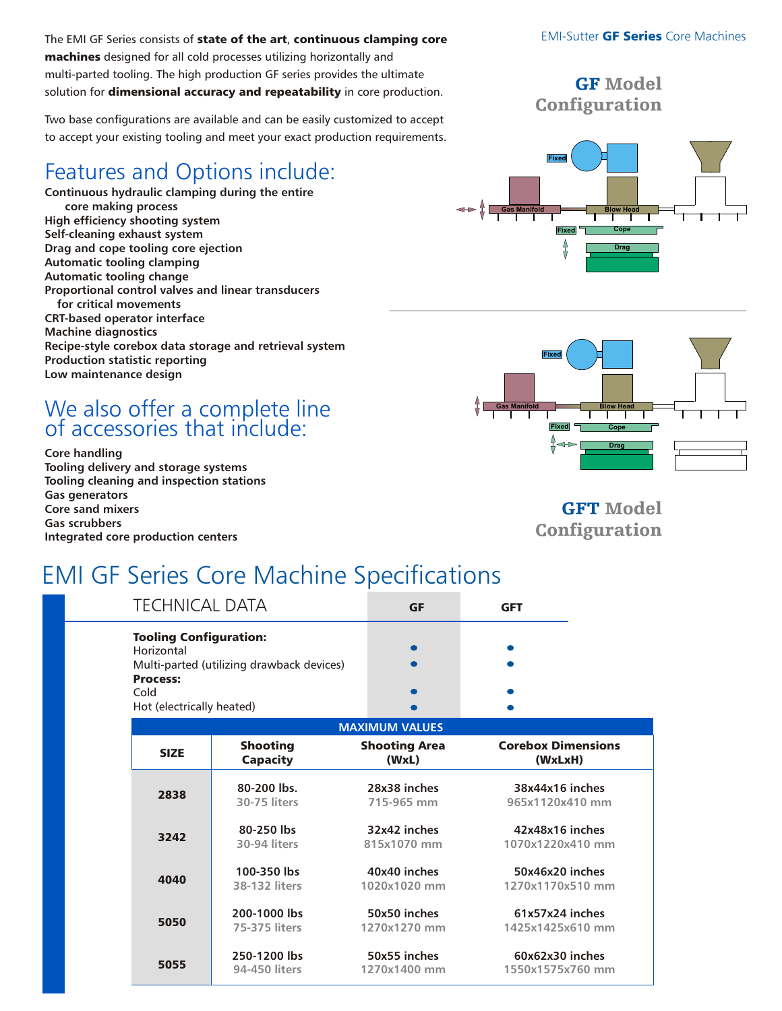The EMI GF Series consists of state of the art, continuous clamping core machines designed for all cold processes utilizing horizontally and multi-parted tooling. The high production GF series provides the ultimate solution for dimensional accuracy and repeatability in core production.

Two base configurations are available and can be easily customized to accept to accept your existing tooling and meet your exact production requirements.

# Features and Options include:

**Continuous hydraulic clamping during the entire core making process High efficiency shooting system Self-cleaning exhaust system Drag and cope tooling core ejection Automatic tooling clamping Automatic tooling change Proportional control valves and linear transducers for critical movements CRT-based operator interface Machine diagnostics Recipe-style corebox data storage and retrieval system Production statistic reporting Low maintenance design**

# We also offer a complete line of accessories that include:

**Core handling Tooling delivery and storage systems Tooling cleaning and inspection stations Gas generators Core sand mixers Gas scrubbers Integrated core production centers**

GFT Model **Configuration** 

# EMI GF Series Core Machine Specifications

| <b>TECHNICAL DATA</b>                                                                                       |                 | <b>GF</b>            | <b>GFT</b>                |  |  |
|-------------------------------------------------------------------------------------------------------------|-----------------|----------------------|---------------------------|--|--|
| <b>Tooling Configuration:</b><br>Horizontal<br>Multi-parted (utilizing drawback devices)<br><b>Process:</b> |                 |                      |                           |  |  |
| Cold                                                                                                        |                 | ●                    |                           |  |  |
| Hot (electrically heated)                                                                                   |                 |                      |                           |  |  |
| <b>MAXIMUM VALUES</b>                                                                                       |                 |                      |                           |  |  |
| <b>SIZE</b>                                                                                                 | <b>Shooting</b> | <b>Shooting Area</b> | <b>Corebox Dimensions</b> |  |  |
|                                                                                                             | <b>Capacity</b> | (WxL)                | (WxLxH)                   |  |  |
| 2838                                                                                                        | 80-200 lbs.     | 28x38 inches         | 38x44x16 inches           |  |  |
|                                                                                                             | 30-75 liters    | 715-965 mm           | 965x1120x410 mm           |  |  |
| 3242                                                                                                        | 80-250 lbs      | 32x42 inches         | 42x48x16 inches           |  |  |
|                                                                                                             | 30-94 liters    | 815x1070 mm          | 1070x1220x410 mm          |  |  |
| 4040                                                                                                        | 100-350 lbs     | 40x40 inches         | 50x46x20 inches           |  |  |
|                                                                                                             | 38-132 liters   | 1020x1020 mm         | 1270x1170x510 mm          |  |  |
| 5050                                                                                                        | 200-1000 lbs    | 50x50 inches         | 61x57x24 inches           |  |  |
|                                                                                                             | 75-375 liters   | 1270x1270 mm         | 1425x1425x610 mm          |  |  |
| 5055                                                                                                        | 250-1200 lbs    | 50x55 inches         | 60x62x30 inches           |  |  |
|                                                                                                             | 94-450 liters   | 1270x1400 mm         | 1550x1575x760 mm          |  |  |

#### **EMI-Sutter GF Series Core Machines**

#### GF Model **Configuration**